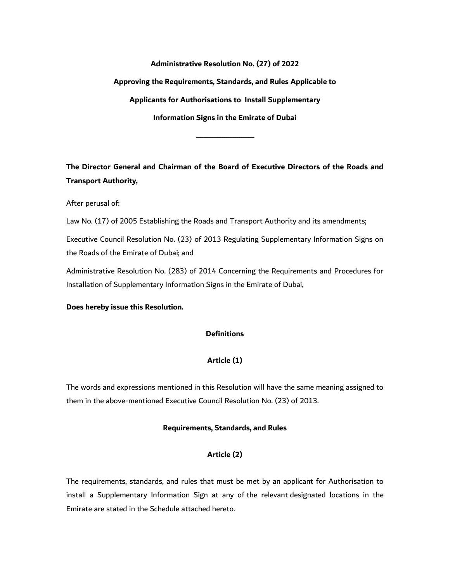**Administrative Resolution No. (27) of 2022**

**Approving the Requirements, Standards, and Rules Applicable to**

**Applicants for Authorisations to Install Supplementary**

**Information Signs in the Emirate of Dubai**

**ــــــــــــــــــــــــــــــــــــــــــــــــــــــــــــــــــــــــــــــــــــــــــ**

**The Director General and Chairman of the Board of Executive Directors of the Roads and Transport Authority,**

After perusal of:

Law No. (17) of 2005 Establishing the Roads and Transport Authority and its amendments;

Executive Council Resolution No. (23) of 2013 Regulating Supplementary Information Signs on the Roads of the Emirate of Dubai; and

Administrative Resolution No. (283) of 2014 Concerning the Requirements and Procedures for Installation of Supplementary Information Signs in the Emirate of Dubai,

**Does hereby issue this Resolution.**

### **Definitions**

## **Article (1)**

The words and expressions mentioned in this Resolution will have the same meaning assigned to them in the above-mentioned Executive Council Resolution No. (23) of 2013.

#### **Requirements, Standards, and Rules**

### **Article (2)**

The requirements, standards, and rules that must be met by an applicant for Authorisation to install a Supplementary Information Sign at any of the relevant designated locations in the Emirate are stated in the Schedule attached hereto.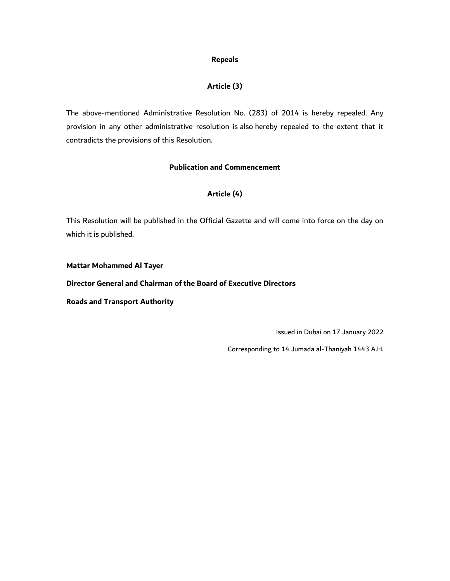#### **Repeals**

## **Article (3)**

The above-mentioned Administrative Resolution No. (283) of 2014 is hereby repealed. Any provision in any other administrative resolution is also hereby repealed to the extent that it contradicts the provisions of this Resolution.

### **Publication and Commencement**

## **Article (4)**

This Resolution will be published in the Official Gazette and will come into force on the day on which it is published.

#### **Mattar Mohammed Al Tayer**

### **Director General and Chairman of the Board of Executive Directors**

**Roads and Transport Authority**

Issued in Dubai on 17 January 2022

Corresponding to 14 Jumada al-Thaniyah 1443 A.H.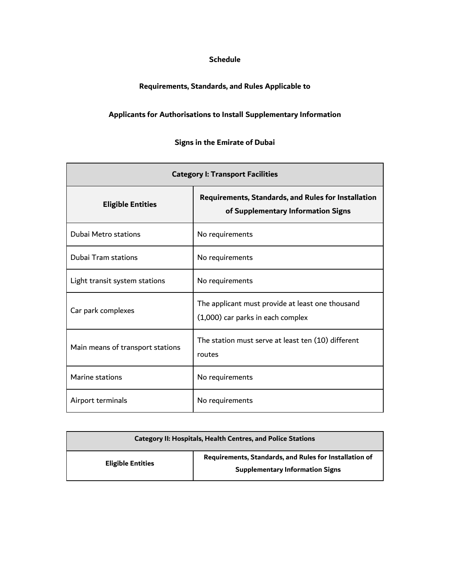## **Schedule**

# **Requirements, Standards, and Rules Applicable to**

# **Applicants for Authorisations to Install Supplementary Information**

# **Signs in the Emirate of Dubai**

| <b>Category I: Transport Facilities</b> |                                                                                                  |
|-----------------------------------------|--------------------------------------------------------------------------------------------------|
| <b>Eligible Entities</b>                | <b>Requirements, Standards, and Rules for Installation</b><br>of Supplementary Information Signs |
| Dubai Metro stations                    | No requirements                                                                                  |
| Dubai Tram stations                     | No requirements                                                                                  |
| Light transit system stations           | No requirements                                                                                  |
| Car park complexes                      | The applicant must provide at least one thousand<br>(1,000) car parks in each complex            |
| Main means of transport stations        | The station must serve at least ten (10) different<br>routes                                     |
| Marine stations                         | No requirements                                                                                  |
| Airport terminals                       | No requirements                                                                                  |

| <b>Category II: Hospitals, Health Centres, and Police Stations</b> |                                                                                                  |
|--------------------------------------------------------------------|--------------------------------------------------------------------------------------------------|
| <b>Eligible Entities</b>                                           | Requirements, Standards, and Rules for Installation of<br><b>Supplementary Information Signs</b> |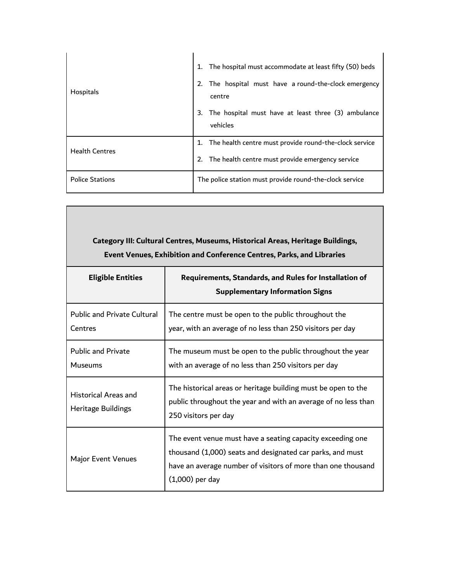| Hospitals              | The hospital must accommodate at least fifty (50) beds<br>The hospital must have a round-the-clock emergency<br>2.<br>centre<br>The hospital must have at least three (3) ambulance<br>3.<br>vehicles |
|------------------------|-------------------------------------------------------------------------------------------------------------------------------------------------------------------------------------------------------|
| <b>Health Centres</b>  | The health centre must provide round-the-clock service<br>2. The health centre must provide emergency service                                                                                         |
| <b>Police Stations</b> | The police station must provide round-the-clock service                                                                                                                                               |

Г

| Category III: Cultural Centres, Museums, Historical Areas, Heritage Buildings,<br><b>Event Venues, Exhibition and Conference Centres, Parks, and Libraries</b> |                                                                                                                                                                                                              |
|----------------------------------------------------------------------------------------------------------------------------------------------------------------|--------------------------------------------------------------------------------------------------------------------------------------------------------------------------------------------------------------|
| <b>Eligible Entities</b>                                                                                                                                       | Requirements, Standards, and Rules for Installation of<br><b>Supplementary Information Signs</b>                                                                                                             |
| <b>Public and Private Cultural</b><br>Centres                                                                                                                  | The centre must be open to the public throughout the<br>year, with an average of no less than 250 visitors per day                                                                                           |
| <b>Public and Private</b><br><b>Museums</b>                                                                                                                    | The museum must be open to the public throughout the year<br>with an average of no less than 250 visitors per day                                                                                            |
| <b>Historical Areas and</b><br>Heritage Buildings                                                                                                              | The historical areas or heritage building must be open to the<br>public throughout the year and with an average of no less than<br>250 visitors per day                                                      |
| <b>Major Event Venues</b>                                                                                                                                      | The event venue must have a seating capacity exceeding one<br>thousand (1,000) seats and designated car parks, and must<br>have an average number of visitors of more than one thousand<br>$(1,000)$ per day |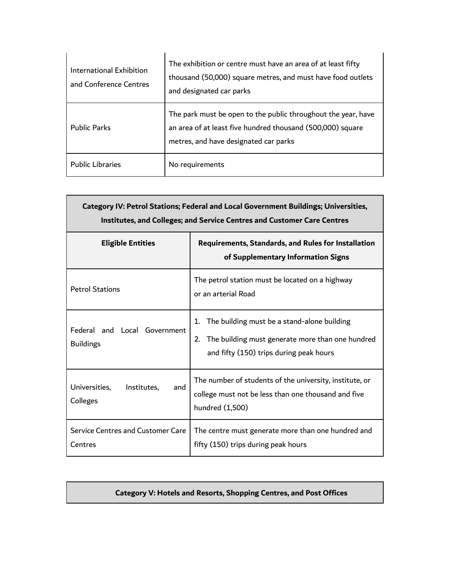| International Exhibition<br>and Conference Centres | The exhibition or centre must have an area of at least fifty<br>thousand (50,000) square metres, and must have food outlets<br>and designated car parks              |
|----------------------------------------------------|----------------------------------------------------------------------------------------------------------------------------------------------------------------------|
| <b>Public Parks</b>                                | The park must be open to the public throughout the year, have<br>an area of at least five hundred thousand (500,000) square<br>metres, and have designated car parks |
| <b>Public Libraries</b>                            | No requirements                                                                                                                                                      |

| Category IV: Petrol Stations; Federal and Local Government Buildings; Universities,<br><b>Institutes, and Colleges; and Service Centres and Customer Care Centres</b> |                                                                                                                                                                    |  |
|-----------------------------------------------------------------------------------------------------------------------------------------------------------------------|--------------------------------------------------------------------------------------------------------------------------------------------------------------------|--|
| <b>Eligible Entities</b>                                                                                                                                              | <b>Requirements, Standards, and Rules for Installation</b><br>of Supplementary Information Signs                                                                   |  |
| <b>Petrol Stations</b>                                                                                                                                                | The petrol station must be located on a highway<br>or an arterial Road                                                                                             |  |
| Federal and Local Government<br><b>Buildings</b>                                                                                                                      | The building must be a stand-alone building<br>$\mathbf{1}$ .<br>The building must generate more than one hundred<br>2.<br>and fifty (150) trips during peak hours |  |
| Universities,<br>Institutes,<br>and<br>Colleges                                                                                                                       | The number of students of the university, institute, or<br>college must not be less than one thousand and five<br>hundred (1,500)                                  |  |
| Service Centres and Customer Care<br>Centres                                                                                                                          | The centre must generate more than one hundred and<br>fifty (150) trips during peak hours                                                                          |  |

# **Category V: Hotels and Resorts, Shopping Centres, and Post Offices**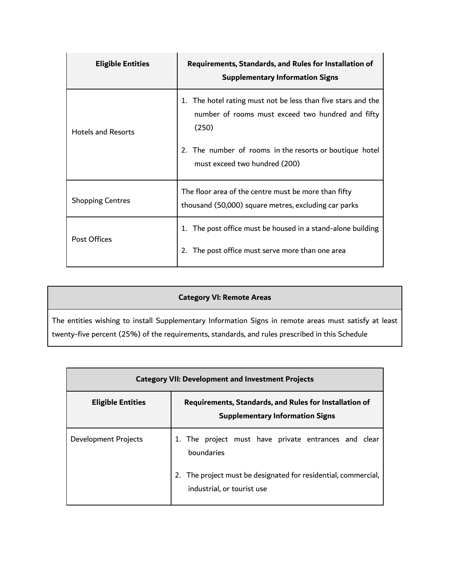| <b>Eligible Entities</b>  | Requirements, Standards, and Rules for Installation of<br><b>Supplementary Information Signs</b>                                                                                                                       |
|---------------------------|------------------------------------------------------------------------------------------------------------------------------------------------------------------------------------------------------------------------|
| <b>Hotels and Resorts</b> | 1. The hotel rating must not be less than five stars and the<br>number of rooms must exceed two hundred and fifty<br>(250)<br>2. The number of rooms in the resorts or boutique hotel<br>must exceed two hundred (200) |
| <b>Shopping Centres</b>   | The floor area of the centre must be more than fifty<br>thousand (50,000) square metres, excluding car parks                                                                                                           |
| <b>Post Offices</b>       | The post office must be housed in a stand-alone building<br>1.<br>The post office must serve more than one area<br>2.                                                                                                  |

# **Category VI: Remote Areas**

The entities wishing to install Supplementary Information Signs in remote areas must satisfy at least twenty-five percent (25%) of the requirements, standards, and rules prescribed in this Schedule

| <b>Category VII: Development and Investment Projects</b> |                                                                                                  |
|----------------------------------------------------------|--------------------------------------------------------------------------------------------------|
| <b>Eligible Entities</b>                                 | Requirements, Standards, and Rules for Installation of<br><b>Supplementary Information Signs</b> |
| Development Projects                                     | 1. The project must have private entrances and clear<br>boundaries                               |
|                                                          | 2. The project must be designated for residential, commercial,<br>industrial, or tourist use     |